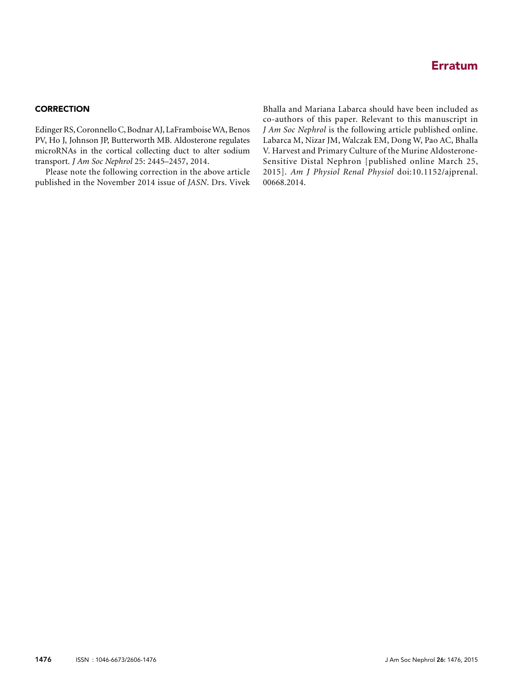## Erratum

## **CORRECTION**

Edinger RS, Coronnello C, Bodnar AJ, LaFramboiseWA, Benos PV, Ho J, Johnson JP, Butterworth MB. Aldosterone regulates microRNAs in the cortical collecting duct to alter sodium transport. J Am Soc Nephrol 25: 2445–2457, 2014.

Please note the following correction in the above article published in the November 2014 issue of JASN. Drs. Vivek

Bhalla and Mariana Labarca should have been included as co-authors of this paper. Relevant to this manuscript in J Am Soc Nephrol is the following article published online. Labarca M, Nizar JM, Walczak EM, Dong W, Pao AC, Bhalla V. Harvest and Primary Culture of the Murine Aldosterone-Sensitive Distal Nephron [published online March 25, 2015]. Am J Physiol Renal Physiol doi:10.1152/ajprenal. 00668.2014.